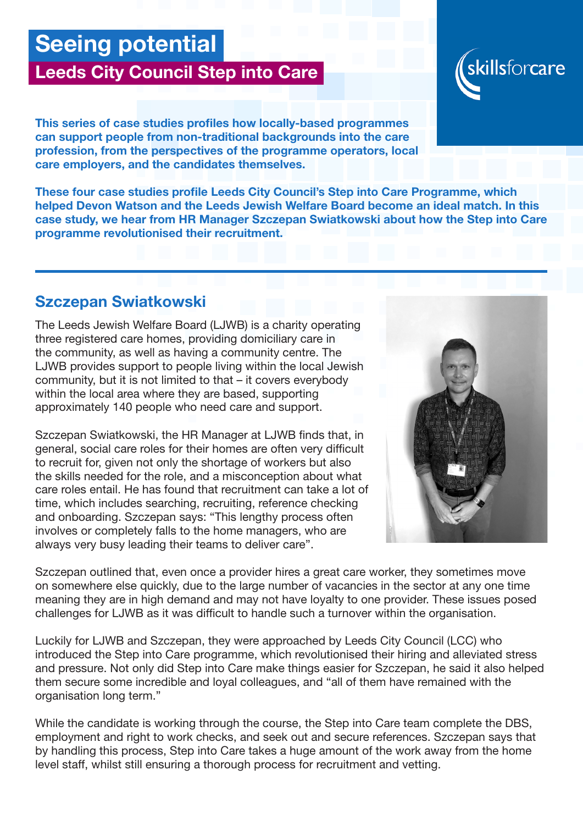# Seeing potential

## Leeds City Council Step into Care

This series of case studies profiles how locally-based programmes can support people from non-traditional backgrounds into the care profession, from the perspectives of the programme operators, local care employers, and the candidates themselves.

These four case studies profile Leeds City Council's Step into Care Programme, which helped Devon Watson and the Leeds Jewish Welfare Board become an ideal match. In this case study, we hear from HR Manager Szczepan Swiatkowski about how the Step into Care programme revolutionised their recruitment.

### Szczepan Swiatkowski

The Leeds Jewish Welfare Board (LJWB) is a charity operating three registered care homes, providing domiciliary care in the community, as well as having a community centre. The LJWB provides support to people living within the local Jewish community, but it is not limited to that – it covers everybody within the local area where they are based, supporting approximately 140 people who need care and support.

Szczepan Swiatkowski, the HR Manager at LJWB finds that, in general, social care roles for their homes are often very difficult to recruit for, given not only the shortage of workers but also the skills needed for the role, and a misconception about what care roles entail. He has found that recruitment can take a lot of time, which includes searching, recruiting, reference checking and onboarding. Szczepan says: "This lengthy process often involves or completely falls to the home managers, who are always very busy leading their teams to deliver care".

Szczepan outlined that, even once a provider hires a great care worker, they sometimes move on somewhere else quickly, due to the large number of vacancies in the sector at any one time meaning they are in high demand and may not have loyalty to one provider. These issues posed challenges for LJWB as it was difficult to handle such a turnover within the organisation.

Luckily for LJWB and Szczepan, they were approached by Leeds City Council (LCC) who introduced the Step into Care programme, which revolutionised their hiring and alleviated stress and pressure. Not only did Step into Care make things easier for Szczepan, he said it also helped them secure some incredible and loyal colleagues, and "all of them have remained with the organisation long term."

While the candidate is working through the course, the Step into Care team complete the DBS, employment and right to work checks, and seek out and secure references. Szczepan says that by handling this process, Step into Care takes a huge amount of the work away from the home level staff, whilst still ensuring a thorough process for recruitment and vetting.



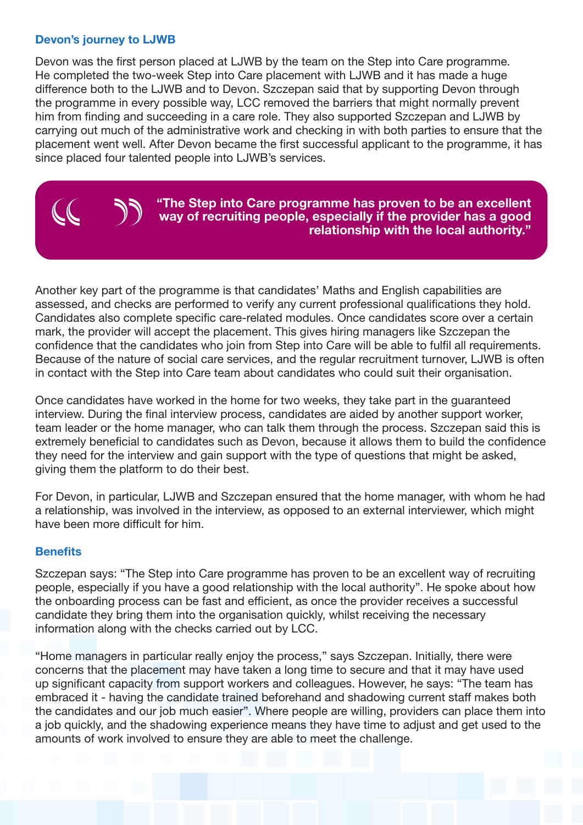#### Devon's journey to LJWB

Devon was the first person placed at LJWB by the team on the Step into Care programme. He completed the two-week Step into Care placement with LJWB and it has made a huge difference both to the LJWB and to Devon. Szczepan said that by supporting Devon through the programme in every possible way, LCC removed the barriers that might normally prevent him from finding and succeeding in a care role. They also supported Szczepan and LJWB by carrying out much of the administrative work and checking in with both parties to ensure that the placement went well. After Devon became the first successful applicant to the programme, it has since placed four talented people into LJWB's services.

#### "The Step into Care programme has proven to be an excellent way of recruiting people, especially if the provider has a good relationship with the local authority."

Another key part of the programme is that candidates' Maths and English capabilities are assessed, and checks are performed to verify any current professional qualifications they hold. Candidates also complete specific care-related modules. Once candidates score over a certain mark, the provider will accept the placement. This gives hiring managers like Szczepan the confidence that the candidates who join from Step into Care will be able to fulfil all requirements. Because of the nature of social care services, and the regular recruitment turnover, LJWB is often in contact with the Step into Care team about candidates who could suit their organisation.

Once candidates have worked in the home for two weeks, they take part in the guaranteed interview. During the final interview process, candidates are aided by another support worker, team leader or the home manager, who can talk them through the process. Szczepan said this is extremely beneficial to candidates such as Devon, because it allows them to build the confidence they need for the interview and gain support with the type of questions that might be asked, giving them the platform to do their best.

For Devon, in particular, LJWB and Szczepan ensured that the home manager, with whom he had a relationship, was involved in the interview, as opposed to an external interviewer, which might have been more difficult for him.

#### **Benefits**

Szczepan says: "The Step into Care programme has proven to be an excellent way of recruiting people, especially if you have a good relationship with the local authority". He spoke about how the onboarding process can be fast and efficient, as once the provider receives a successful candidate they bring them into the organisation quickly, whilst receiving the necessary information along with the checks carried out by LCC.

"Home managers in particular really enjoy the process," says Szczepan. Initially, there were concerns that the placement may have taken a long time to secure and that it may have used up significant capacity from support workers and colleagues. However, he says: "The team has embraced it - having the candidate trained beforehand and shadowing current staff makes both the candidates and our job much easier". Where people are willing, providers can place them into a job quickly, and the shadowing experience means they have time to adjust and get used to the amounts of work involved to ensure they are able to meet the challenge.